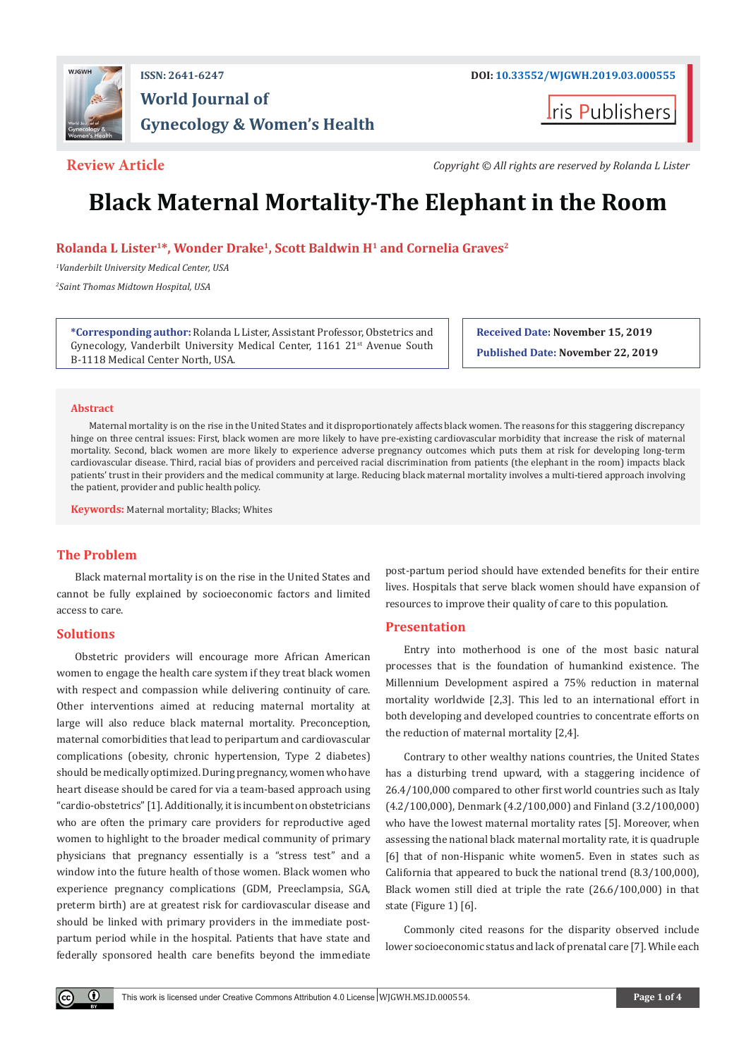

# **ISSN: 2641-6247 DOI: [10.33552/WJGWH.2019.03.000555](http://dx.doi.org/10.33552/WJGWH.2019.03.000555) World Journal of Gynecology & Women's Health**

ris Publishers

**Review Article** *Copyright © All rights are reserved by Rolanda L Lister*

# **Black Maternal Mortality-The Elephant in the Room**

**Rolanda L Lister1\*, Wonder Drake1, Scott Baldwin H1 and Cornelia Graves2**

*1 Vanderbilt University Medical Center, USA 2 Saint Thomas Midtown Hospital, USA*

**\*Corresponding author:** Rolanda L Lister, Assistant Professor, Obstetrics and Gynecology, Vanderbilt University Medical Center, 1161 21<sup>st</sup> Avenue South B-1118 Medical Center North, USA.

**Received Date: November 15, 2019 Published Date: November 22, 2019**

# **Abstract**

Maternal mortality is on the rise in the United States and it disproportionately affects black women. The reasons for this staggering discrepancy hinge on three central issues: First, black women are more likely to have pre-existing cardiovascular morbidity that increase the risk of maternal mortality. Second, black women are more likely to experience adverse pregnancy outcomes which puts them at risk for developing long-term cardiovascular disease. Third, racial bias of providers and perceived racial discrimination from patients (the elephant in the room) impacts black patients' trust in their providers and the medical community at large. Reducing black maternal mortality involves a multi-tiered approach involving the patient, provider and public health policy.

**Keywords:** Maternal mortality; Blacks; Whites

# **The Problem**

Black maternal mortality is on the rise in the United States and cannot be fully explained by socioeconomic factors and limited access to care.

# **Solutions**

 $\left( \mathbf{r} \right)$ 

Obstetric providers will encourage more African American women to engage the health care system if they treat black women with respect and compassion while delivering continuity of care. Other interventions aimed at reducing maternal mortality at large will also reduce black maternal mortality. Preconception, maternal comorbidities that lead to peripartum and cardiovascular complications (obesity, chronic hypertension, Type 2 diabetes) should be medically optimized. During pregnancy, women who have heart disease should be cared for via a team-based approach using "cardio-obstetrics" [1]. Additionally, it is incumbent on obstetricians who are often the primary care providers for reproductive aged women to highlight to the broader medical community of primary physicians that pregnancy essentially is a "stress test" and a window into the future health of those women. Black women who experience pregnancy complications (GDM, Preeclampsia, SGA, preterm birth) are at greatest risk for cardiovascular disease and should be linked with primary providers in the immediate postpartum period while in the hospital. Patients that have state and federally sponsored health care benefits beyond the immediate post-partum period should have extended benefits for their entire lives. Hospitals that serve black women should have expansion of resources to improve their quality of care to this population.

# **Presentation**

Entry into motherhood is one of the most basic natural processes that is the foundation of humankind existence. The Millennium Development aspired a 75% reduction in maternal mortality worldwide [2,3]. This led to an international effort in both developing and developed countries to concentrate efforts on the reduction of maternal mortality [2,4].

Contrary to other wealthy nations countries, the United States has a disturbing trend upward, with a staggering incidence of 26.4/100,000 compared to other first world countries such as Italy (4.2/100,000), Denmark (4.2/100,000) and Finland (3.2/100,000) who have the lowest maternal mortality rates [5]. Moreover, when assessing the national black maternal mortality rate, it is quadruple [6] that of non-Hispanic white women5. Even in states such as California that appeared to buck the national trend (8.3/100,000), Black women still died at triple the rate (26.6/100,000) in that state (Figure 1) [6].

Commonly cited reasons for the disparity observed include lower socioeconomic status and lack of prenatal care [7]. While each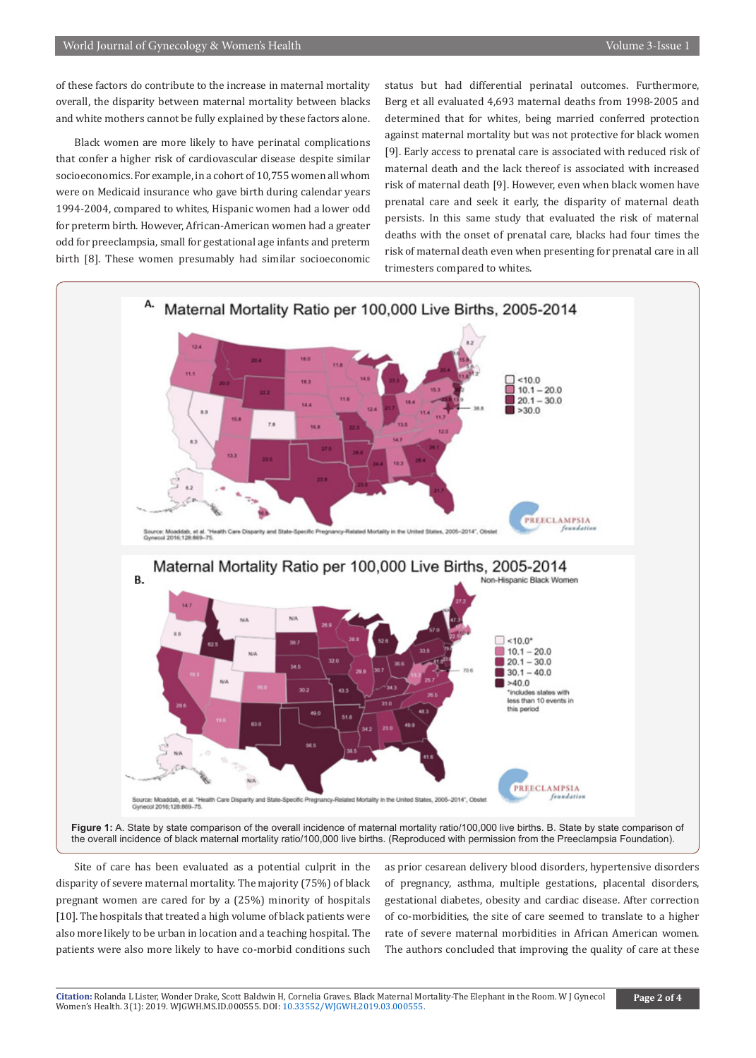of these factors do contribute to the increase in maternal mortality overall, the disparity between maternal mortality between blacks and white mothers cannot be fully explained by these factors alone.

Black women are more likely to have perinatal complications that confer a higher risk of cardiovascular disease despite similar socioeconomics. For example, in a cohort of 10,755 women all whom were on Medicaid insurance who gave birth during calendar years 1994-2004, compared to whites, Hispanic women had a lower odd for preterm birth. However, African-American women had a greater odd for preeclampsia, small for gestational age infants and preterm birth [8]. These women presumably had similar socioeconomic status but had differential perinatal outcomes. Furthermore, Berg et all evaluated 4,693 maternal deaths from 1998-2005 and determined that for whites, being married conferred protection against maternal mortality but was not protective for black women [9]. Early access to prenatal care is associated with reduced risk of maternal death and the lack thereof is associated with increased risk of maternal death [9]. However, even when black women have prenatal care and seek it early, the disparity of maternal death persists. In this same study that evaluated the risk of maternal deaths with the onset of prenatal care, blacks had four times the risk of maternal death even when presenting for prenatal care in all trimesters compared to whites.



Site of care has been evaluated as a potential culprit in the disparity of severe maternal mortality. The majority (75%) of black pregnant women are cared for by a (25%) minority of hospitals [10]. The hospitals that treated a high volume of black patients were also more likely to be urban in location and a teaching hospital. The patients were also more likely to have co-morbid conditions such

as prior cesarean delivery blood disorders, hypertensive disorders of pregnancy, asthma, multiple gestations, placental disorders, gestational diabetes, obesity and cardiac disease. After correction of co-morbidities, the site of care seemed to translate to a higher rate of severe maternal morbidities in African American women. The authors concluded that improving the quality of care at these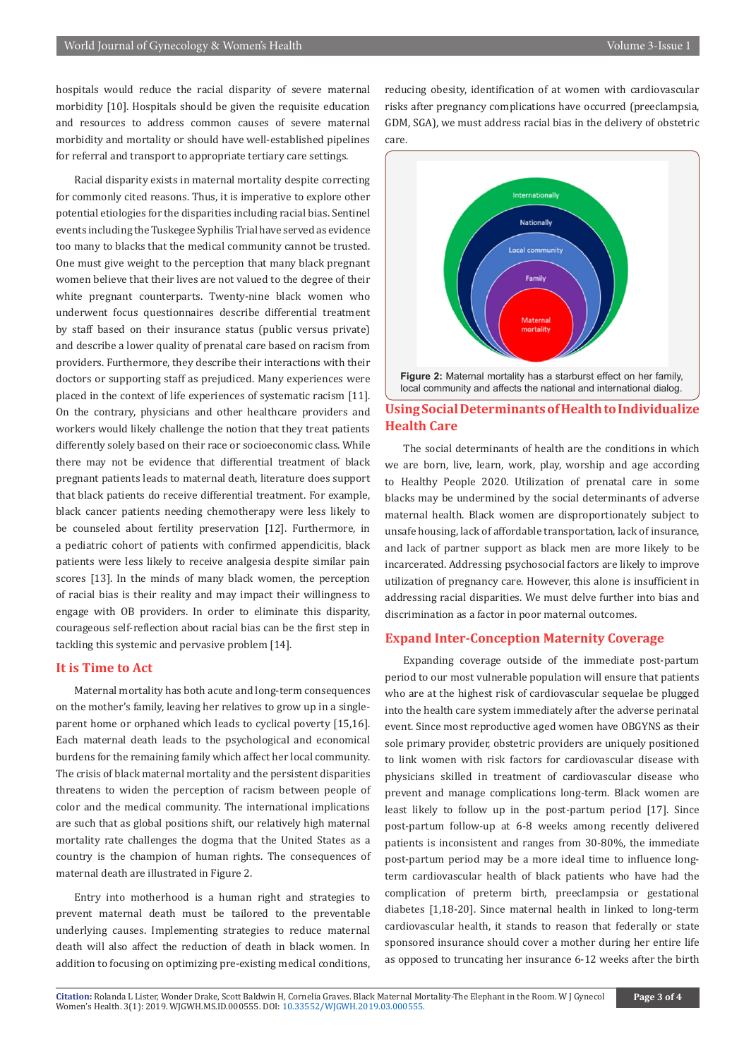hospitals would reduce the racial disparity of severe maternal morbidity [10]. Hospitals should be given the requisite education and resources to address common causes of severe maternal morbidity and mortality or should have well-established pipelines for referral and transport to appropriate tertiary care settings.

Racial disparity exists in maternal mortality despite correcting for commonly cited reasons. Thus, it is imperative to explore other potential etiologies for the disparities including racial bias. Sentinel events including the Tuskegee Syphilis Trial have served as evidence too many to blacks that the medical community cannot be trusted. One must give weight to the perception that many black pregnant women believe that their lives are not valued to the degree of their white pregnant counterparts. Twenty-nine black women who underwent focus questionnaires describe differential treatment by staff based on their insurance status (public versus private) and describe a lower quality of prenatal care based on racism from providers. Furthermore, they describe their interactions with their doctors or supporting staff as prejudiced. Many experiences were placed in the context of life experiences of systematic racism [11]. On the contrary, physicians and other healthcare providers and workers would likely challenge the notion that they treat patients differently solely based on their race or socioeconomic class. While there may not be evidence that differential treatment of black pregnant patients leads to maternal death, literature does support that black patients do receive differential treatment. For example, black cancer patients needing chemotherapy were less likely to be counseled about fertility preservation [12]. Furthermore, in a pediatric cohort of patients with confirmed appendicitis, black patients were less likely to receive analgesia despite similar pain scores [13]. In the minds of many black women, the perception of racial bias is their reality and may impact their willingness to engage with OB providers. In order to eliminate this disparity, courageous self-reflection about racial bias can be the first step in tackling this systemic and pervasive problem [14].

## **It is Time to Act**

Maternal mortality has both acute and long-term consequences on the mother's family, leaving her relatives to grow up in a singleparent home or orphaned which leads to cyclical poverty [15,16]. Each maternal death leads to the psychological and economical burdens for the remaining family which affect her local community. The crisis of black maternal mortality and the persistent disparities threatens to widen the perception of racism between people of color and the medical community. The international implications are such that as global positions shift, our relatively high maternal mortality rate challenges the dogma that the United States as a country is the champion of human rights. The consequences of maternal death are illustrated in Figure 2.

Entry into motherhood is a human right and strategies to prevent maternal death must be tailored to the preventable underlying causes. Implementing strategies to reduce maternal death will also affect the reduction of death in black women. In addition to focusing on optimizing pre-existing medical conditions, reducing obesity, identification of at women with cardiovascular risks after pregnancy complications have occurred (preeclampsia, GDM, SGA), we must address racial bias in the delivery of obstetric care.



local community and affects the national and international dialog.

# **Using Social Determinants of Health to Individualize Health Care**

The social determinants of health are the conditions in which we are born, live, learn, work, play, worship and age according to Healthy People 2020. Utilization of prenatal care in some blacks may be undermined by the social determinants of adverse maternal health. Black women are disproportionately subject to unsafe housing, lack of affordable transportation, lack of insurance, and lack of partner support as black men are more likely to be incarcerated. Addressing psychosocial factors are likely to improve utilization of pregnancy care. However, this alone is insufficient in addressing racial disparities. We must delve further into bias and discrimination as a factor in poor maternal outcomes.

# **Expand Inter-Conception Maternity Coverage**

Expanding coverage outside of the immediate post-partum period to our most vulnerable population will ensure that patients who are at the highest risk of cardiovascular sequelae be plugged into the health care system immediately after the adverse perinatal event. Since most reproductive aged women have OBGYNS as their sole primary provider, obstetric providers are uniquely positioned to link women with risk factors for cardiovascular disease with physicians skilled in treatment of cardiovascular disease who prevent and manage complications long-term. Black women are least likely to follow up in the post-partum period [17]. Since post-partum follow-up at 6-8 weeks among recently delivered patients is inconsistent and ranges from 30-80%, the immediate post-partum period may be a more ideal time to influence longterm cardiovascular health of black patients who have had the complication of preterm birth, preeclampsia or gestational diabetes [1,18-20]. Since maternal health in linked to long-term cardiovascular health, it stands to reason that federally or state sponsored insurance should cover a mother during her entire life as opposed to truncating her insurance 6-12 weeks after the birth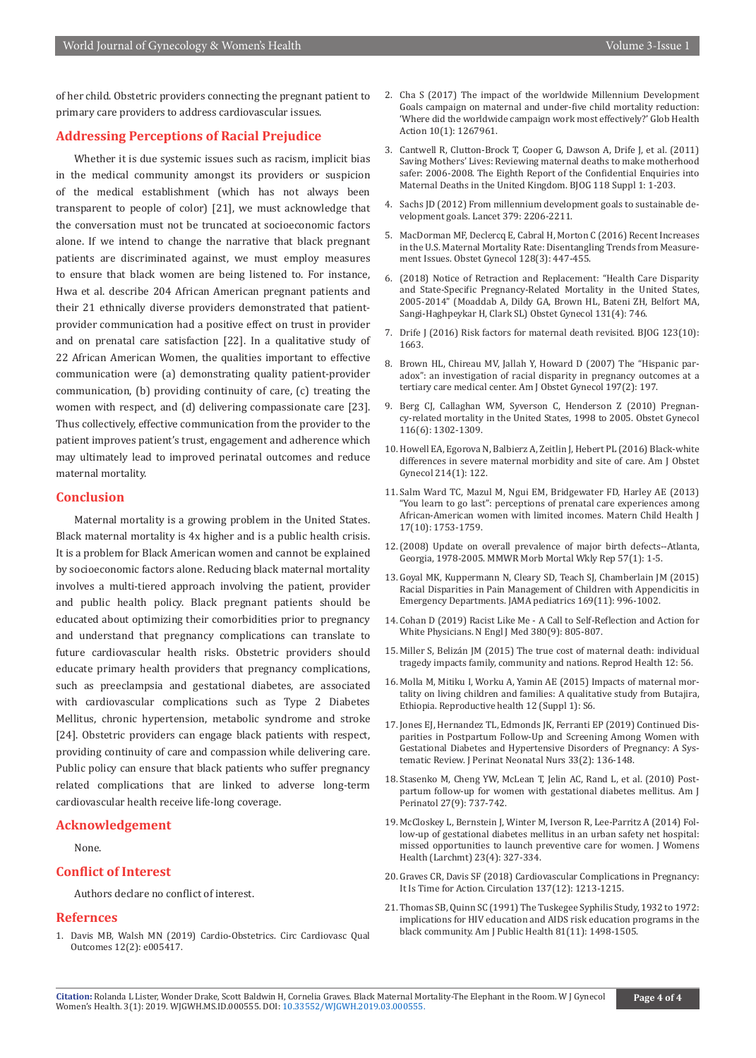of her child. Obstetric providers connecting the pregnant patient to primary care providers to address cardiovascular issues.

# **Addressing Perceptions of Racial Prejudice**

Whether it is due systemic issues such as racism, implicit bias in the medical community amongst its providers or suspicion of the medical establishment (which has not always been transparent to people of color) [21], we must acknowledge that the conversation must not be truncated at socioeconomic factors alone. If we intend to change the narrative that black pregnant patients are discriminated against, we must employ measures to ensure that black women are being listened to. For instance, Hwa et al. describe 204 African American pregnant patients and their 21 ethnically diverse providers demonstrated that patientprovider communication had a positive effect on trust in provider and on prenatal care satisfaction [22]. In a qualitative study of 22 African American Women, the qualities important to effective communication were (a) demonstrating quality patient-provider communication, (b) providing continuity of care, (c) treating the women with respect, and (d) delivering compassionate care [23]. Thus collectively, effective communication from the provider to the patient improves patient's trust, engagement and adherence which may ultimately lead to improved perinatal outcomes and reduce maternal mortality.

# **Conclusion**

Maternal mortality is a growing problem in the United States. Black maternal mortality is 4x higher and is a public health crisis. It is a problem for Black American women and cannot be explained by socioeconomic factors alone. Reducing black maternal mortality involves a multi-tiered approach involving the patient, provider and public health policy. Black pregnant patients should be educated about optimizing their comorbidities prior to pregnancy and understand that pregnancy complications can translate to future cardiovascular health risks. Obstetric providers should educate primary health providers that pregnancy complications, such as preeclampsia and gestational diabetes, are associated with cardiovascular complications such as Type 2 Diabetes Mellitus, chronic hypertension, metabolic syndrome and stroke [24]. Obstetric providers can engage black patients with respect, providing continuity of care and compassion while delivering care. Public policy can ensure that black patients who suffer pregnancy related complications that are linked to adverse long-term cardiovascular health receive life-long coverage.

# **Acknowledgement**

### None.

# **Conflict of Interest**

Authors declare no conflict of interest.

# **Refernces**

1. [Davis MB, Walsh MN \(2019\) Cardio-Obstetrics. Circ Cardiovasc Qual](https://www.ncbi.nlm.nih.gov/pubmed/30773028) [Outcomes 12\(2\): e005417.](https://www.ncbi.nlm.nih.gov/pubmed/30773028)

- 2. [Cha S \(2017\) The impact of the worldwide Millennium Development](https://www.ncbi.nlm.nih.gov/pubmed/28168932)  [Goals campaign on maternal and under-five child mortality reduction:](https://www.ncbi.nlm.nih.gov/pubmed/28168932)  ['Where did the worldwide campaign work most effectively?' Glob Health](https://www.ncbi.nlm.nih.gov/pubmed/28168932)  [Action 10\(1\): 1267961.](https://www.ncbi.nlm.nih.gov/pubmed/28168932)
- 3. [Cantwell R, Clutton-Brock T, Cooper G, Dawson A, Drife J, et al. \(2011\)](https://www.ncbi.nlm.nih.gov/pubmed/21356004)  [Saving Mothers' Lives: Reviewing maternal deaths to make motherhood](https://www.ncbi.nlm.nih.gov/pubmed/21356004)  safer: 2006-2008. The Eighth Report of the Confidential Enquiries into [Maternal Deaths in the United Kingdom. BJOG 118 Suppl 1: 1-203.](https://www.ncbi.nlm.nih.gov/pubmed/21356004)
- 4. [Sachs JD \(2012\) From millennium development goals to sustainable de](https://www.thelancet.com/journals/lancet/article/PIIS0140-6736(12)60685-0/fulltext)[velopment goals. Lancet 379: 2206-2211.](https://www.thelancet.com/journals/lancet/article/PIIS0140-6736(12)60685-0/fulltext)
- 5. [MacDorman MF, Declercq E, Cabral H, Morton C \(2016\) Recent Increases](https://www.ncbi.nlm.nih.gov/pubmed/27500333)  [in the U.S. Maternal Mortality Rate: Disentangling Trends from Measure](https://www.ncbi.nlm.nih.gov/pubmed/27500333)[ment Issues. Obstet Gynecol 128\(3\): 447-455.](https://www.ncbi.nlm.nih.gov/pubmed/27500333)
- 6. [\(2018\) Notice of Retraction and Replacement: "Health Care Disparity](https://www.ncbi.nlm.nih.gov/pubmed/29528940)  [and State-Specific Pregnancy-Related Mortality in the United States,](https://www.ncbi.nlm.nih.gov/pubmed/29528940)  [2005-2014" \(Moaddab A, Dildy GA, Brown HL, Bateni ZH, Belfort MA,](https://www.ncbi.nlm.nih.gov/pubmed/29528940)  [Sangi-Haghpeykar H, Clark SL\) Obstet Gynecol 131\(4\): 746.](https://www.ncbi.nlm.nih.gov/pubmed/29528940)
- 7. [Drife J \(2016\) Risk factors for maternal death revisited. BJOG 123\(10\):](https://www.ncbi.nlm.nih.gov/pubmed/27074541/)  [1663.](https://www.ncbi.nlm.nih.gov/pubmed/27074541/)
- 8. [Brown HL, Chireau MV, Jallah Y, Howard D \(2007\) The "Hispanic par](https://www.ncbi.nlm.nih.gov/pubmed/17689648)[adox": an investigation of racial disparity in pregnancy outcomes at a](https://www.ncbi.nlm.nih.gov/pubmed/17689648)  [tertiary care medical center. Am J Obstet Gynecol 197\(2\): 197.](https://www.ncbi.nlm.nih.gov/pubmed/17689648)
- 9. [Berg CJ, Callaghan WM, Syverson C, Henderson Z \(2010\) Pregnan](https://www.ncbi.nlm.nih.gov/pubmed/21099595)[cy-related mortality in the United States, 1998 to 2005. Obstet Gynecol](https://www.ncbi.nlm.nih.gov/pubmed/21099595)  [116\(6\): 1302-1309.](https://www.ncbi.nlm.nih.gov/pubmed/21099595)
- 10. [Howell EA, Egorova N, Balbierz A, Zeitlin J, Hebert PL \(2016\) Black-white](https://www.ncbi.nlm.nih.gov/pubmed/26283457)  [differences in severe maternal morbidity and site of care. Am J Obstet](https://www.ncbi.nlm.nih.gov/pubmed/26283457)  [Gynecol 214\(1\): 122.](https://www.ncbi.nlm.nih.gov/pubmed/26283457)
- 11. [Salm Ward TC, Mazul M, Ngui EM, Bridgewater FD, Harley AE \(2013\)](https://www.ncbi.nlm.nih.gov/pubmed/23180190)  ["You learn to go last": perceptions of prenatal care experiences among](https://www.ncbi.nlm.nih.gov/pubmed/23180190)  [African-American women with limited incomes. Matern Child Health J](https://www.ncbi.nlm.nih.gov/pubmed/23180190)  [17\(10\): 1753-1759.](https://www.ncbi.nlm.nih.gov/pubmed/23180190)
- 12.[\(2008\) Update on overall prevalence of major birth defects--Atlanta,](https://www.ncbi.nlm.nih.gov/pubmed/18185492)  [Georgia, 1978-2005. MMWR Morb Mortal Wkly Rep 57\(1\): 1-5.](https://www.ncbi.nlm.nih.gov/pubmed/18185492)
- 13. [Goyal MK, Kuppermann N, Cleary SD, Teach SJ, Chamberlain JM \(2015\)](https://www.ncbi.nlm.nih.gov/pubmed/26366984)  [Racial Disparities in Pain Management of Children with Appendicitis in](https://www.ncbi.nlm.nih.gov/pubmed/26366984)  [Emergency Departments. JAMA pediatrics 169\(11\): 996-1002.](https://www.ncbi.nlm.nih.gov/pubmed/26366984)
- 14. [Cohan D \(2019\) Racist Like Me A Call to Self-Reflection and Action for](https://www.ncbi.nlm.nih.gov/pubmed/30811907)  [White Physicians. N Engl J Med 380\(9\): 805-807.](https://www.ncbi.nlm.nih.gov/pubmed/30811907)
- 15. [Miller S, Belizán JM \(2015\) The true cost of maternal death: individual](https://www.ncbi.nlm.nih.gov/pubmed/26081494)  [tragedy impacts family, community and nations. Reprod Health 12: 56.](https://www.ncbi.nlm.nih.gov/pubmed/26081494)
- 16. [Molla M, Mitiku I, Worku A, Yamin AE \(2015\) Impacts of maternal mor](https://reproductive-health-journal.biomedcentral.com/track/pdf/10.1186/1742-4755-12-S1-S6)[tality on living children and families: A qualitative study from Butajira,](https://reproductive-health-journal.biomedcentral.com/track/pdf/10.1186/1742-4755-12-S1-S6)  [Ethiopia. Reproductive health 12 \(Suppl 1\): S6.](https://reproductive-health-journal.biomedcentral.com/track/pdf/10.1186/1742-4755-12-S1-S6)
- 17. [Jones EJ, Hernandez TL, Edmonds JK, Ferranti EP \(2019\) Continued Dis](https://www.ncbi.nlm.nih.gov/pubmed/31021939)[parities in Postpartum Follow-Up and Screening Among Women with](https://www.ncbi.nlm.nih.gov/pubmed/31021939)  [Gestational Diabetes and Hypertensive Disorders of Pregnancy: A Sys](https://www.ncbi.nlm.nih.gov/pubmed/31021939)[tematic Review. J Perinat Neonatal Nurs 33\(2\): 136-148.](https://www.ncbi.nlm.nih.gov/pubmed/31021939)
- 18. [Stasenko M, Cheng YW, McLean T, Jelin AC, Rand L, et al. \(2010\) Post](https://www.ncbi.nlm.nih.gov/pubmed/20440668)[partum follow-up for women with gestational diabetes mellitus. Am J](https://www.ncbi.nlm.nih.gov/pubmed/20440668)  [Perinatol 27\(9\): 737-742.](https://www.ncbi.nlm.nih.gov/pubmed/20440668)
- 19. [McCloskey L, Bernstein J, Winter M, Iverson R, Lee-Parritz A \(2014\) Fol](https://www.ncbi.nlm.nih.gov/pubmed/24707899)[low-up of gestational diabetes mellitus in an urban safety net hospital:](https://www.ncbi.nlm.nih.gov/pubmed/24707899)  [missed opportunities to launch preventive care for women. J Womens](https://www.ncbi.nlm.nih.gov/pubmed/24707899)  [Health \(Larchmt\) 23\(4\): 327-334.](https://www.ncbi.nlm.nih.gov/pubmed/24707899)
- 20. [Graves CR, Davis SF \(2018\) Cardiovascular Complications in Pregnancy:](https://www.ncbi.nlm.nih.gov/pubmed/29459362)  [It Is Time for Action. Circulation 137\(12\): 1213-1215.](https://www.ncbi.nlm.nih.gov/pubmed/29459362)
- 21. [Thomas SB, Quinn SC \(1991\) The Tuskegee Syphilis Study, 1932 to 1972:](https://www.ncbi.nlm.nih.gov/pubmed/1951814)  [implications for HIV education and AIDS risk education programs in the](https://www.ncbi.nlm.nih.gov/pubmed/1951814)  [black community. Am J Public Health 81\(11\): 1498-1505.](https://www.ncbi.nlm.nih.gov/pubmed/1951814)